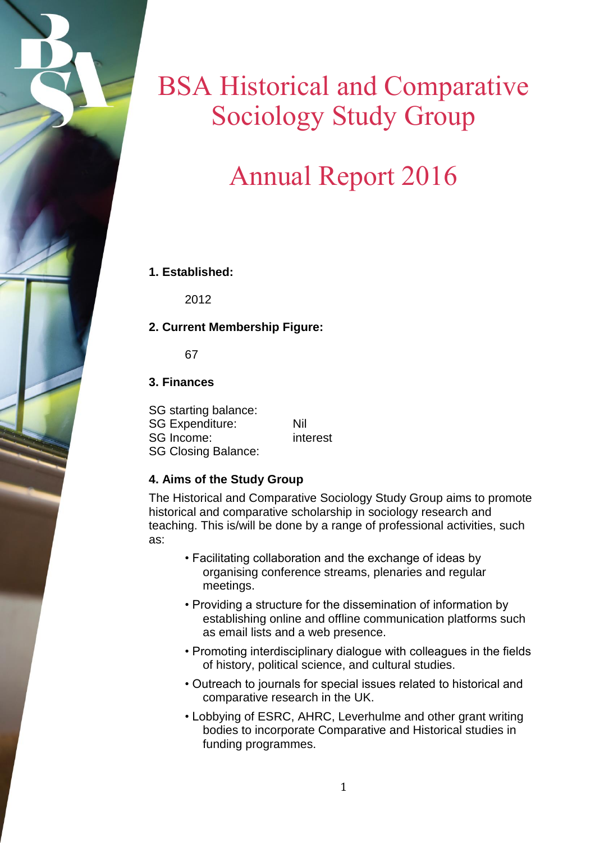# BSA Historical and Comparative Sociology Study Group

# Annual Report 2016

## **1. Established:**

2012

## **2. Current Membership Figure:**

67

## **3. Finances**

SG starting balance: SG Expenditure: Nil SG Income: interest SG Closing Balance:

## **4. Aims of the Study Group**

The Historical and Comparative Sociology Study Group aims to promote historical and comparative scholarship in sociology research and teaching. This is/will be done by a range of professional activities, such as:

- Facilitating collaboration and the exchange of ideas by organising conference streams, plenaries and regular meetings.
- Providing a structure for the dissemination of information by establishing online and offline communication platforms such as email lists and a web presence.
- Promoting interdisciplinary dialogue with colleagues in the fields of history, political science, and cultural studies.
- Outreach to journals for special issues related to historical and comparative research in the UK.
- Lobbying of ESRC, AHRC, Leverhulme and other grant writing bodies to incorporate Comparative and Historical studies in funding programmes.